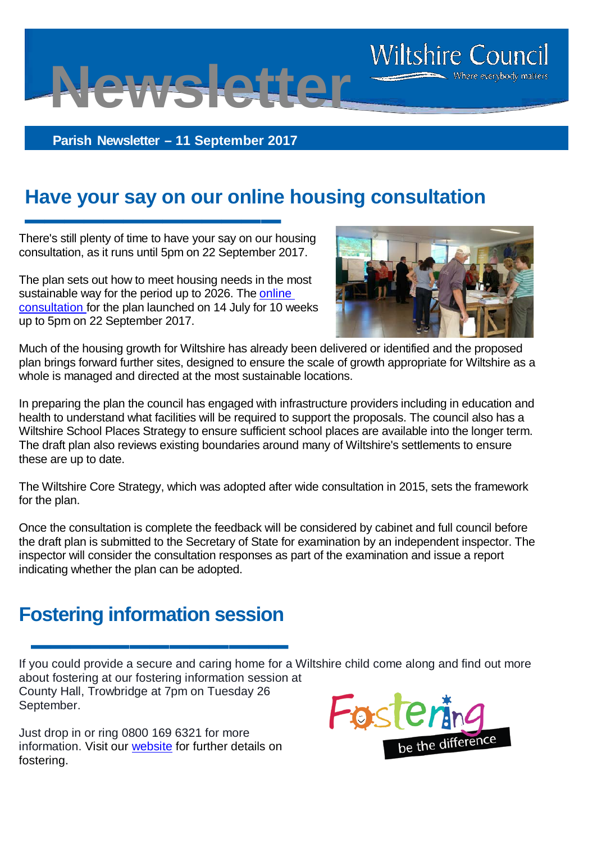**Parish Newsletter – 11 September 2017**

**Newsletter**

## **Have your say on our online housing consultation**

There's still plenty of time to have your say on our housing consultation, as it runs until 5pm on 22 September 2017.

**▬▬▬▬▬▬▬▬▬▬▬▬▬**

The plan sets out how to meet housing needs in the most sustainable way for the period up to 2026. The [online](http://consult.wiltshire.gov.uk/portal/spatial_planning/sites_dpd/draftwhsap)  [consultation](http://consult.wiltshire.gov.uk/portal/spatial_planning/sites_dpd/draftwhsap) for the plan launched on 14 July for 10 weeks up to 5pm on 22 September 2017.



**Wiltshire Council** 

Where everybody matters

Much of the housing growth for Wiltshire has already been delivered or identified and the proposed plan brings forward further sites, designed to ensure the scale of growth appropriate for Wiltshire as a whole is managed and directed at the most sustainable locations.

In preparing the plan the council has engaged with infrastructure providers including in education and health to understand what facilities will be required to support the proposals. The council also has a Wiltshire School Places Strategy to ensure sufficient school places are available into the longer term. The draft plan also reviews existing boundaries around many of Wiltshire's settlements to ensure these are up to date.

The Wiltshire Core Strategy, which was adopted after wide consultation in 2015, sets the framework for the plan.

Once the consultation is complete the feedback will be considered by cabinet and full council before the draft plan is submitted to the Secretary of State for examination by an independent inspector. The inspector will consider the consultation responses as part of the examination and issue a report indicating whether the plan can be adopted.

### **Fostering information session**

**▬▬▬▬▬▬▬▬▬▬▬▬▬** If you could provide a secure and caring home for a Wiltshire child come along and find out more about fostering at our fostering information session at County Hall, Trowbridge at 7pm on Tuesday 26 September.

Just drop in or ring 0800 169 6321 for more information. Visit our [website](http://www.wiltshire.gov.uk/fostering-could-you-foster) for further details on fostering.

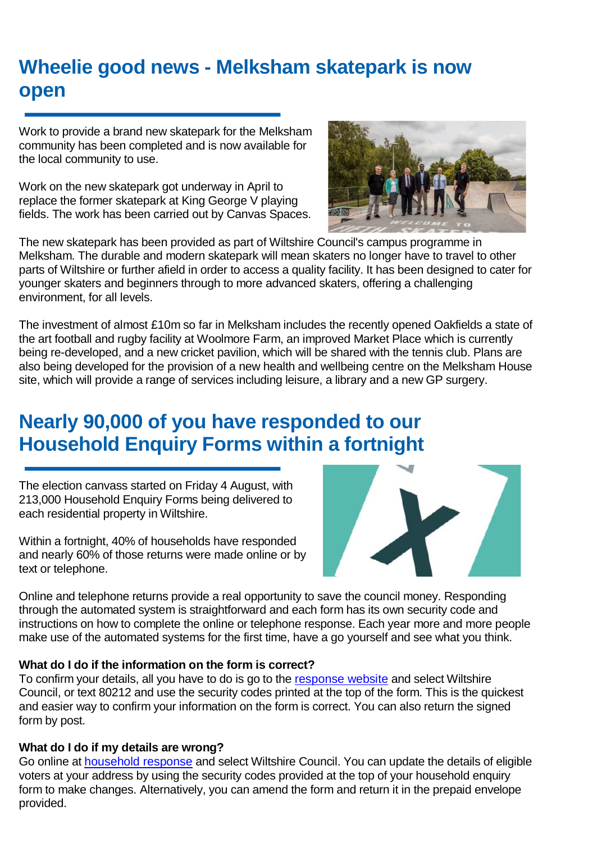# **Wheelie good news - Melksham skatepark is now open**

**▬▬▬▬▬▬▬▬▬▬▬▬▬** Work to provide a brand new skatepark for the Melksham community has been completed and is now available for the local community to use.

Work on the new skatepark got underway in April to replace the former skatepark at King George V playing fields. The work has been carried out by Canvas Spaces.



The new skatepark has been provided as part of Wiltshire Council's campus programme in Melksham. The durable and modern skatepark will mean skaters no longer have to travel to other parts of Wiltshire or further afield in order to access a quality facility. It has been designed to cater for younger skaters and beginners through to more advanced skaters, offering a challenging environment, for all levels.

The investment of almost £10m so far in Melksham includes the recently opened Oakfields a state of the art football and rugby facility at Woolmore Farm, an improved Market Place which is currently being re-developed, and a new cricket pavilion, which will be shared with the tennis club. Plans are also being developed for the provision of a new health and wellbeing centre on the Melksham House site, which will provide a range of services including leisure, a library and a new GP surgery.

# **Nearly 90,000 of you have responded to our Household Enquiry Forms within a fortnight**

**▬▬▬▬▬▬▬▬▬▬▬▬▬** The election canvass started on Friday 4 August, with 213,000 Household Enquiry Forms being delivered to each residential property in Wiltshire.

Within a fortnight, 40% of households have responded and nearly 60% of those returns were made online or by text or telephone.



Online and telephone returns provide a real opportunity to save the council money. Responding through the automated system is straightforward and each form has its own security code and instructions on how to complete the online or telephone response. Each year more and more people make use of the automated systems for the first time, have a go yourself and see what you think.

#### **What do I do if the information on the form is correct?**

To confirm your details, all you have to do is go to the [response website](https://www.householdresponse.com/) and select Wiltshire Council, or text 80212 and use the security codes printed at the top of the form. This is the quickest and easier way to confirm your information on the form is correct. You can also return the signed form by post.

#### **What do I do if my details are wrong?**

Go online at [household response](https://www.registerbyinternet.com/) and select Wiltshire Council. You can update the details of eligible voters at your address by using the security codes provided at the top of your household enquiry form to make changes. Alternatively, you can amend the form and return it in the prepaid envelope provided.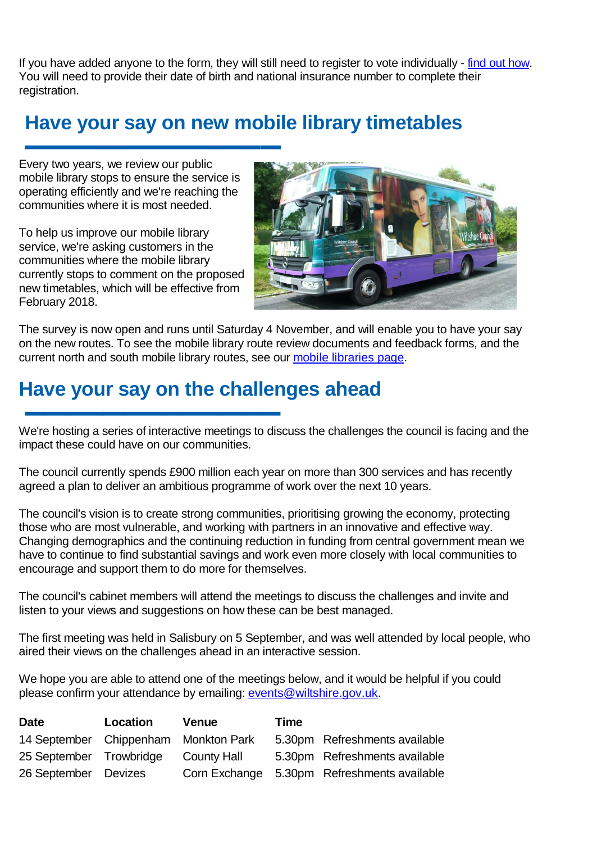If you have added anyone to the form, they will still need to register to vote individually - [find out how.](http://www.wiltshire.gov.uk/elections-register-to-vote) You will need to provide their date of birth and national insurance number to complete their registration.

## **Have your say on new mobile library timetables**

**▬▬▬▬▬▬▬▬▬▬▬▬▬** Every two years, we review our public mobile library stops to ensure the service is operating efficiently and we're reaching the communities where it is most needed.

To help us improve our mobile library service, we're asking customers in the communities where the mobile library currently stops to comment on the proposed new timetables, which will be effective from February 2018.



The survey is now open and runs until Saturday 4 November, and will enable you to have your say on the new routes. To see the mobile library route review documents and feedback forms, and the current north and south mobile library routes, see our [mobile libraries page.](http://services.wiltshire.gov.uk/MobileLibrary/)

## **Have your say on the challenges ahead**

**▬▬▬▬▬▬▬▬▬▬▬▬▬** We're hosting a series of interactive meetings to discuss the challenges the council is facing and the impact these could have on our communities.

The council currently spends £900 million each year on more than 300 services and has recently agreed a plan to deliver an ambitious programme of work over the next 10 years.

The council's vision is to create strong communities, prioritising growing the economy, protecting those who are most vulnerable, and working with partners in an innovative and effective way. Changing demographics and the continuing reduction in funding from central government mean we have to continue to find substantial savings and work even more closely with local communities to encourage and support them to do more for themselves.

The council's cabinet members will attend the meetings to discuss the challenges and invite and listen to your views and suggestions on how these can be best managed.

The first meeting was held in Salisbury on 5 September, and was well attended by local people, who aired their views on the challenges ahead in an interactive session.

We hope you are able to attend one of the meetings below, and it would be helpful if you could please confirm your attendance by emailing: [events@wiltshire.gov.uk.](mailto:events@wiltshire.gov.uk)

| <b>Date</b>                          | Location | Venue              | Time |                                             |
|--------------------------------------|----------|--------------------|------|---------------------------------------------|
| 14 September Chippenham Monkton Park |          |                    |      | 5.30pm Refreshments available               |
| 25 September Trowbridge              |          | <b>County Hall</b> |      | 5.30pm Refreshments available               |
| 26 September Devizes                 |          |                    |      | Corn Exchange 5.30pm Refreshments available |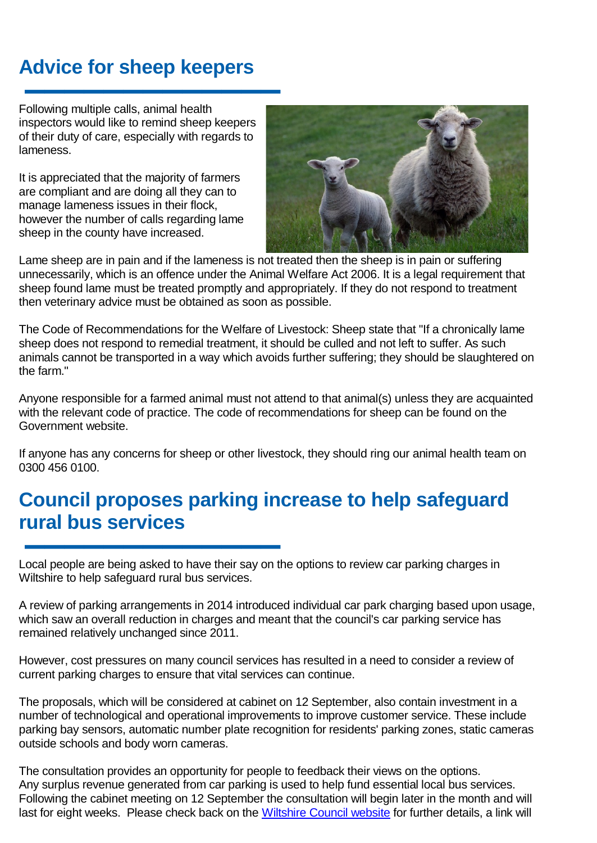# **Advice for sheep keepers**

**▬▬▬▬▬▬▬▬▬▬▬▬▬** Following multiple calls, animal health inspectors would like to remind sheep keepers of their duty of care, especially with regards to lameness.

It is appreciated that the majority of farmers are compliant and are doing all they can to manage lameness issues in their flock, however the number of calls regarding lame sheep in the county have increased.



Lame sheep are in pain and if the lameness is not treated then the sheep is in pain or suffering unnecessarily, which is an offence under the Animal Welfare Act 2006. It is a legal requirement that sheep found lame must be treated promptly and appropriately. If they do not respond to treatment then veterinary advice must be obtained as soon as possible.

The Code of Recommendations for the Welfare of Livestock: Sheep state that "If a chronically lame sheep does not respond to remedial treatment, it should be culled and not left to suffer. As such animals cannot be transported in a way which avoids further suffering; they should be slaughtered on the farm."

Anyone responsible for a farmed animal must not attend to that animal(s) unless they are acquainted with the relevant code of practice. The code of recommendations for sheep can be found on the [Government website.](https://www.gov.uk/government/uploads/system/uploads/attachment_data/file/69365/pb5162-sheep-041028.pdf)

If anyone has any concerns for sheep or other livestock, they should ring our animal health team on 0300 456 0100.

## **Council proposes parking increase to help safeguard rural bus services**

**▬▬▬▬▬▬▬▬▬▬▬▬▬** Local people are being asked to have their say on the options to review car parking charges in Wiltshire to help safeguard rural bus services.

A review of parking arrangements in 2014 introduced individual car park charging based upon usage, which saw an overall reduction in charges and meant that the council's car parking service has remained relatively unchanged since 2011.

However, cost pressures on many council services has resulted in a need to consider a review of current parking charges to ensure that vital services can continue.

The proposals, which will be considered at cabinet on 12 September, also contain investment in a number of technological and operational improvements to improve customer service. These include parking bay sensors, automatic number plate recognition for residents' parking zones, static cameras outside schools and body worn cameras.

The consultation provides an opportunity for people to feedback their views on the options. Any surplus revenue generated from car parking is used to help fund essential local bus services. Following the cabinet meeting on 12 September the consultation will begin later in the month and will last for eight weeks. Please check back on the [Wiltshire Council website](http://www.wiltshire.gov.uk/) for further details, a link will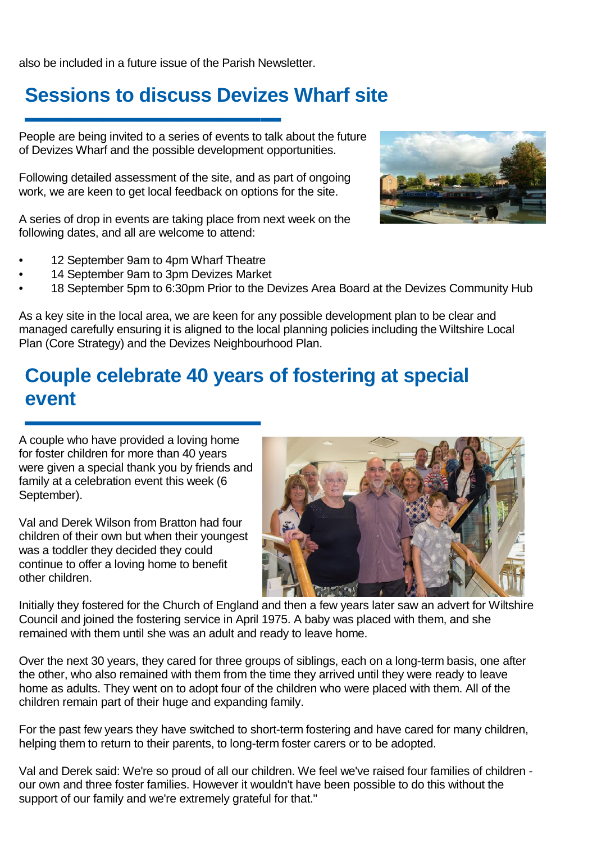also be included in a future issue of the Parish Newsletter.

## **Sessions to discuss Devizes Wharf site**

**▬▬▬▬▬▬▬▬▬▬▬▬▬** People are being invited to a series of events to talk about the future of Devizes Wharf and the possible development opportunities.

Following detailed assessment of the site, and as part of ongoing work, we are keen to get local feedback on options for the site.

A series of drop in events are taking place from next week on the following dates, and all are welcome to attend:

- 12 September 9am to 4pm Wharf Theatre
- 14 September 9am to 3pm Devizes Market
- 18 September 5pm to 6:30pm Prior to the Devizes Area Board at the Devizes Community Hub

As a key site in the local area, we are keen for any possible development plan to be clear and managed carefully ensuring it is aligned to the local planning policies including the Wiltshire Local Plan (Core Strategy) and the Devizes Neighbourhood Plan.

## **Couple celebrate 40 years of fostering at special event**

**▬▬▬▬▬▬▬▬▬▬▬▬** A couple who have provided a loving home for foster children for more than 40 years were given a special thank you by friends and family at a celebration event this week (6 September).

Val and Derek Wilson from Bratton had four children of their own but when their youngest was a toddler they decided they could continue to offer a loving home to benefit other children.



Initially they fostered for the Church of England and then a few years later saw an advert for Wiltshire Council and joined the fostering service in April 1975. A baby was placed with them, and she remained with them until she was an adult and ready to leave home.

Over the next 30 years, they cared for three groups of siblings, each on a long-term basis, one after the other, who also remained with them from the time they arrived until they were ready to leave home as adults. They went on to adopt four of the children who were placed with them. All of the children remain part of their huge and expanding family.

For the past few years they have switched to short-term fostering and have cared for many children, helping them to return to their parents, to long-term foster carers or to be adopted.

Val and Derek said: We're so proud of all our children. We feel we've raised four families of children our own and three foster families. However it wouldn't have been possible to do this without the support of our family and we're extremely grateful for that."

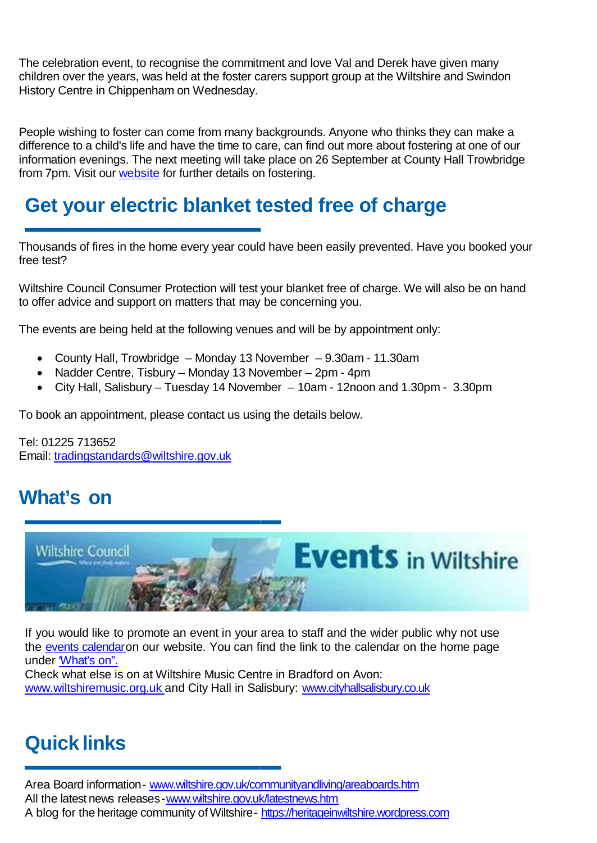The celebration event, to recognise the commitment and love Val and Derek have given many children over the years, was held at the foster carers support group at the Wiltshire and Swindon History Centre in Chippenham on Wednesday.

People wishing to foster can come from many backgrounds. Anyone who thinks they can make a difference to a child's life and have the time to care, can find out more about fostering at one of our information evenings. The next meeting will take place on 26 September at County Hall Trowbridge from 7pm. Visit our **website** for further details on fostering.

## **Get your electric blanket tested free of charge**

**▬▬▬▬▬▬▬▬▬▬▬▬** Thousands of fires in the home every year could have been easily prevented. Have you booked your free test?

Wiltshire Council Consumer Protection will test your blanket free of charge. We will also be on hand to offer advice and support on matters that may be concerning you.

The events are being held at the following venues and will be by appointment only:

- County Hall, Trowbridge Monday 13 November 9.30am 11.30am
- Nadder Centre, Tisbury Monday 13 November 2pm 4pm
- City Hall, Salisbury Tuesday 14 November 10am 12noon and 1.30pm 3.30pm

To book an appointment, please contact us using the details below.

Tel: 01225 713652 Email: [tradingstandards@wiltshire.gov.uk](mailto:tradingstandards@wiltshire.gov.uk)

# **What's on**



If you would like to promote an event in your area to staff and the wider public why not use the [events](http://events.wiltshire.gov.uk/) [calendaro](http://events.wiltshire.gov.uk/)n our website. You can find the link to the calendar on the home page under "What's on".

Check what else is on at Wiltshire Music Centre in Bradford on Avon: [www.wiltshiremusic.org.uk](http://www.wiltshiremusic.org.uk/) and City Hall in Salisbury: [www.cityhallsalisbury.co.uk](http://www.cityhallsalisbury.co.uk/)

# **Quick links**

**▬▬▬▬▬▬▬▬▬▬▬▬▬**

Area Board information- [www.wiltshire.gov.uk/communityandliving/areaboards.htm](http://www.wiltshire.gov.uk/communityandliving/areaboards.htm) All the latest news releases[-www.wiltshire.gov.uk/latestnews.htm](http://www.wiltshire.gov.uk/latestnews.htm) A blog for the heritage community of Wiltshire- [https://heritageinwiltshire.wordpress.com](https://heritageinwiltshire.wordpress.com/)